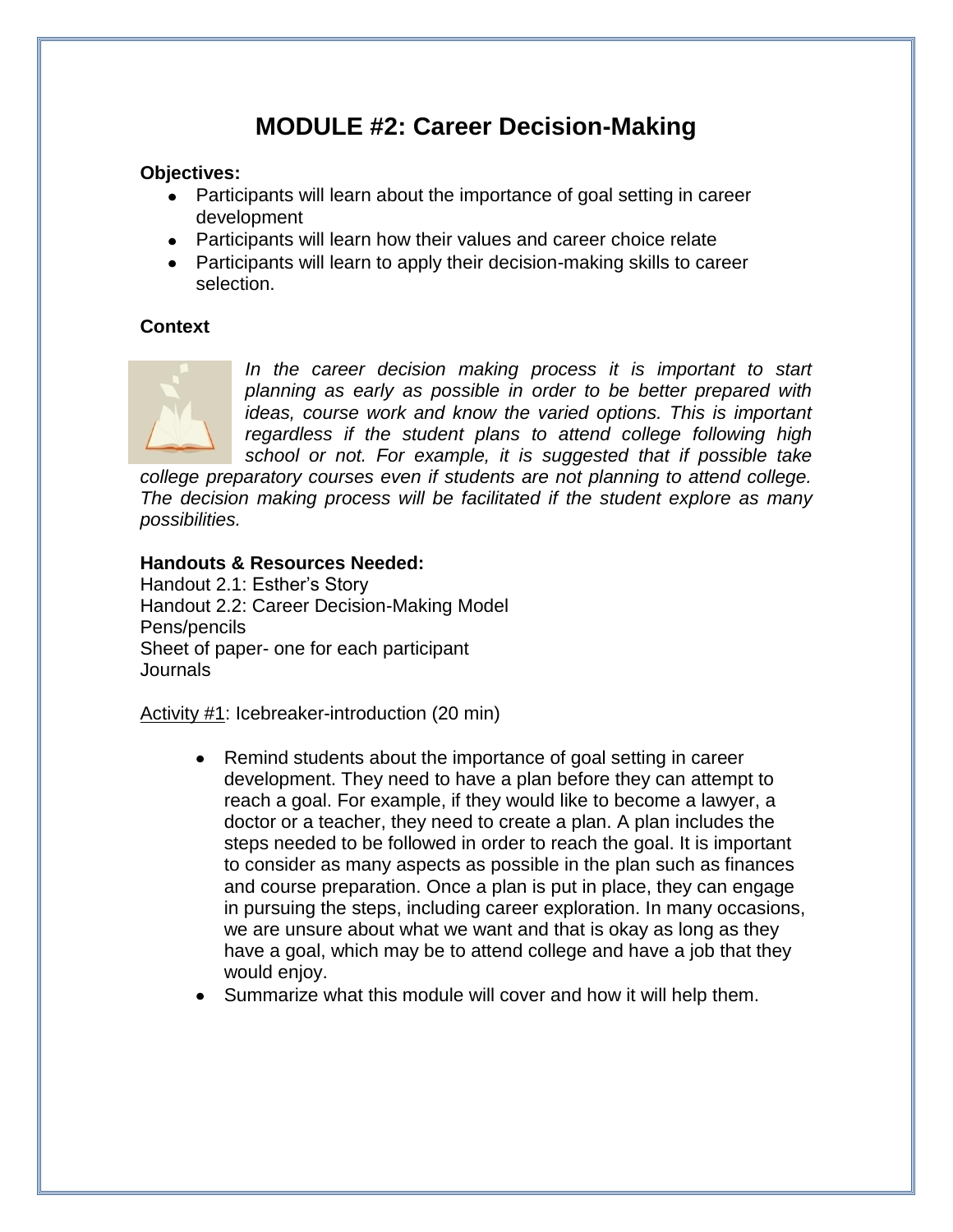# **MODULE #2: Career Decision-Making**

# **Objectives:**

- Participants will learn about the importance of goal setting in career development
- Participants will learn how their values and career choice relate
- Participants will learn to apply their decision-making skills to career selection.

# **Context**



In the career decision making process it is important to start *planning as early as possible in order to be better prepared with ideas, course work and know the varied options. This is important regardless if the student plans to attend college following high school or not. For example, it is suggested that if possible take* 

*college preparatory courses even if students are not planning to attend college. The decision making process will be facilitated if the student explore as many possibilities.* 

### **Handouts & Resources Needed:**

Handout 2.1: Esther's Story Handout 2.2: Career Decision-Making Model Pens/pencils Sheet of paper- one for each participant Journals

Activity #1: Icebreaker-introduction (20 min)

- Remind students about the importance of goal setting in career development. They need to have a plan before they can attempt to reach a goal. For example, if they would like to become a lawyer, a doctor or a teacher, they need to create a plan. A plan includes the steps needed to be followed in order to reach the goal. It is important to consider as many aspects as possible in the plan such as finances and course preparation. Once a plan is put in place, they can engage in pursuing the steps, including career exploration. In many occasions, we are unsure about what we want and that is okay as long as they have a goal, which may be to attend college and have a job that they would enjoy.
- Summarize what this module will cover and how it will help them.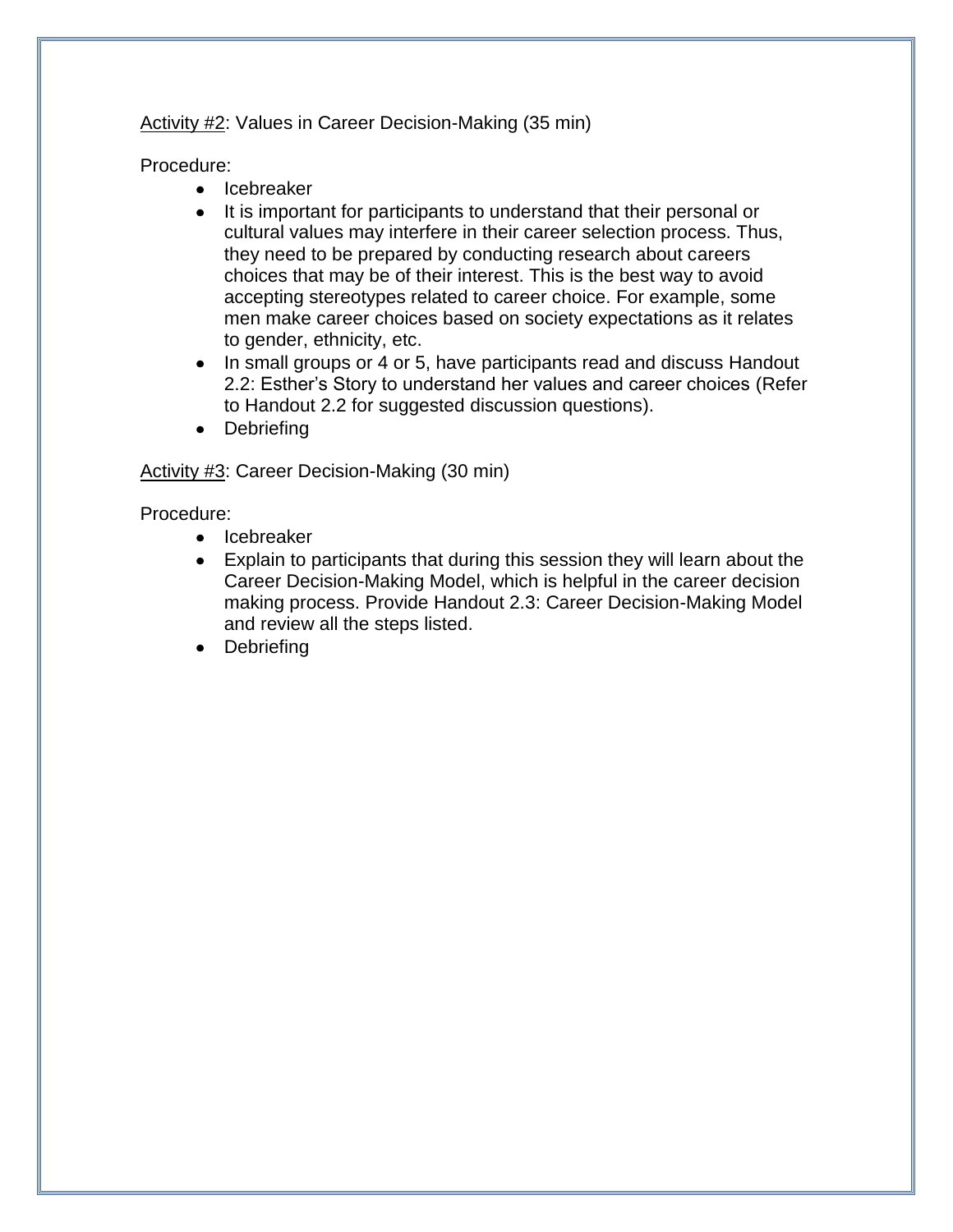Activity #2: Values in Career Decision-Making (35 min)

Procedure:

- Icebreaker
- It is important for participants to understand that their personal or cultural values may interfere in their career selection process. Thus, they need to be prepared by conducting research about careers choices that may be of their interest. This is the best way to avoid accepting stereotypes related to career choice. For example, some men make career choices based on society expectations as it relates to gender, ethnicity, etc.
- In small groups or 4 or 5, have participants read and discuss Handout 2.2: Esther's Story to understand her values and career choices (Refer to Handout 2.2 for suggested discussion questions).
- Debriefing

# Activity #3: Career Decision-Making (30 min)

Procedure:

- Icebreaker
- Explain to participants that during this session they will learn about the Career Decision-Making Model, which is helpful in the career decision making process. Provide Handout 2.3: Career Decision-Making Model and review all the steps listed.
- Debriefing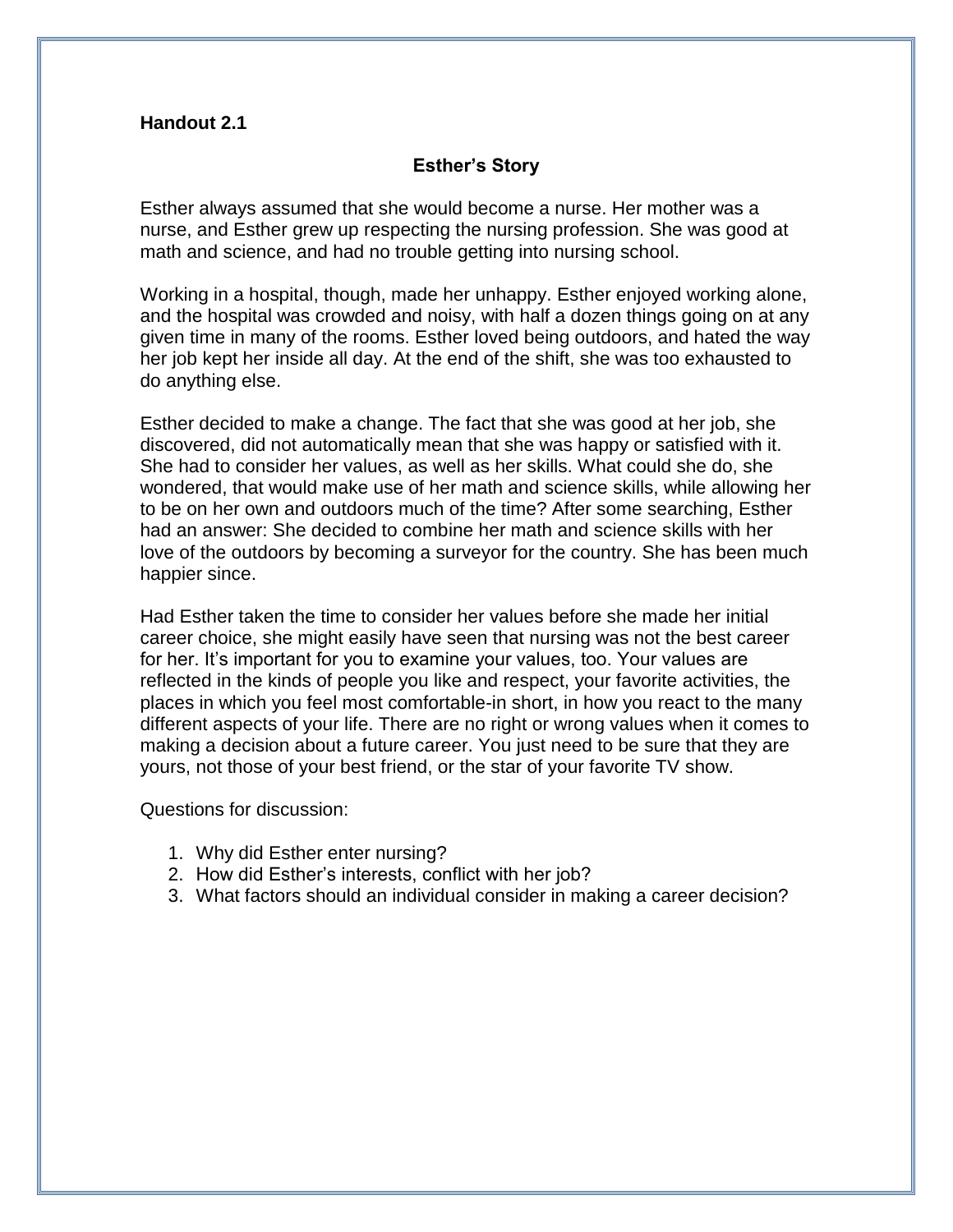### **Handout 2.1**

### **Esther's Story**

Esther always assumed that she would become a nurse. Her mother was a nurse, and Esther grew up respecting the nursing profession. She was good at math and science, and had no trouble getting into nursing school.

Working in a hospital, though, made her unhappy. Esther enjoyed working alone, and the hospital was crowded and noisy, with half a dozen things going on at any given time in many of the rooms. Esther loved being outdoors, and hated the way her job kept her inside all day. At the end of the shift, she was too exhausted to do anything else.

Esther decided to make a change. The fact that she was good at her job, she discovered, did not automatically mean that she was happy or satisfied with it. She had to consider her values, as well as her skills. What could she do, she wondered, that would make use of her math and science skills, while allowing her to be on her own and outdoors much of the time? After some searching, Esther had an answer: She decided to combine her math and science skills with her love of the outdoors by becoming a surveyor for the country. She has been much happier since.

Had Esther taken the time to consider her values before she made her initial career choice, she might easily have seen that nursing was not the best career for her. It's important for you to examine your values, too. Your values are reflected in the kinds of people you like and respect, your favorite activities, the places in which you feel most comfortable-in short, in how you react to the many different aspects of your life. There are no right or wrong values when it comes to making a decision about a future career. You just need to be sure that they are yours, not those of your best friend, or the star of your favorite TV show.

Questions for discussion:

- 1. Why did Esther enter nursing?
- 2. How did Esther's interests, conflict with her job?
- 3. What factors should an individual consider in making a career decision?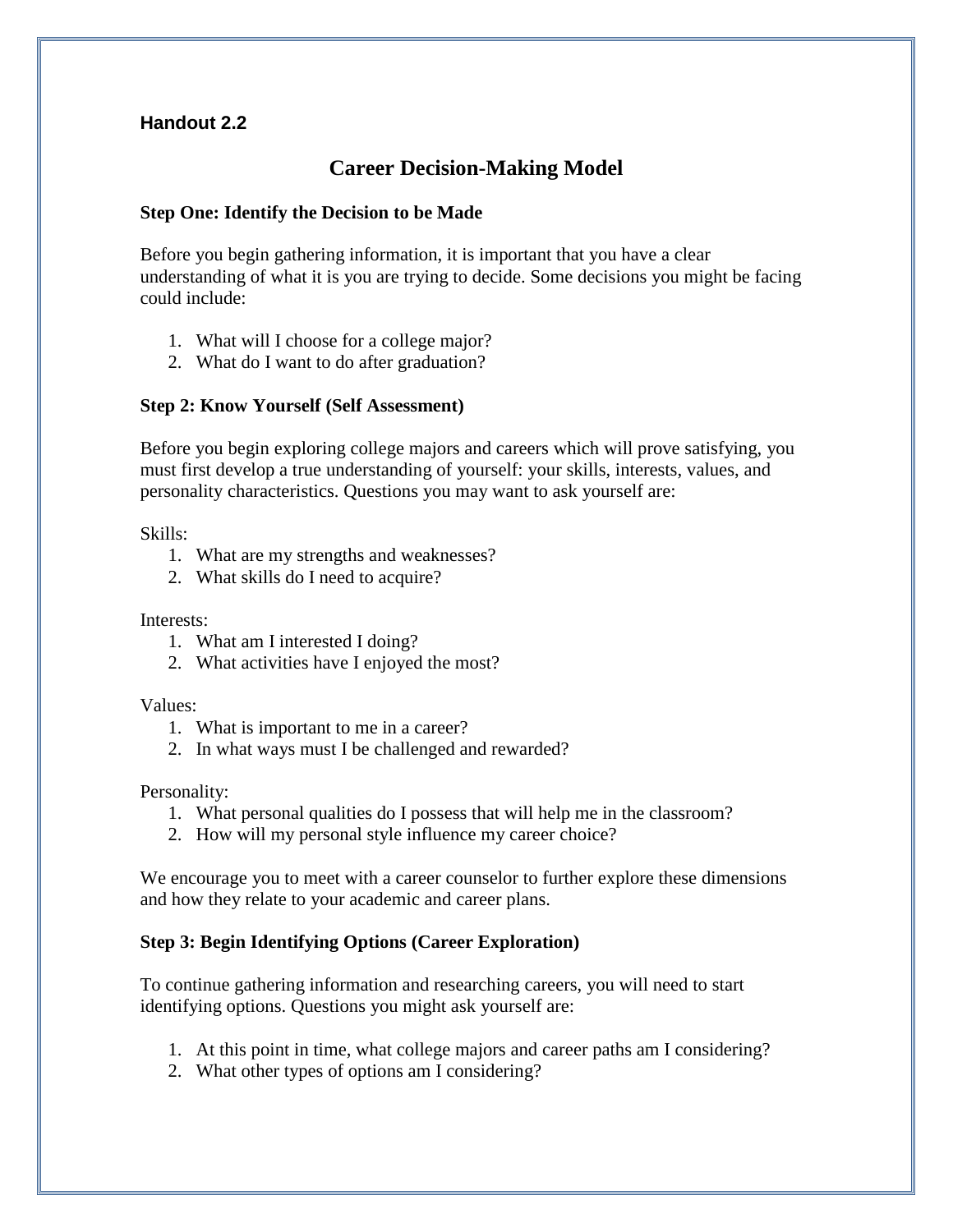# **Handout 2.2**

# **Career Decision-Making Model**

### **Step One: Identify the Decision to be Made**

Before you begin gathering information, it is important that you have a clear understanding of what it is you are trying to decide. Some decisions you might be facing could include:

- 1. What will I choose for a college major?
- 2. What do I want to do after graduation?

### **Step 2: Know Yourself (Self Assessment)**

Before you begin exploring college majors and careers which will prove satisfying, you must first develop a true understanding of yourself: your skills, interests, values, and personality characteristics. Questions you may want to ask yourself are:

Skills:

- 1. What are my strengths and weaknesses?
- 2. What skills do I need to acquire?

Interests:

- 1. What am I interested I doing?
- 2. What activities have I enjoyed the most?

Values:

- 1. What is important to me in a career?
- 2. In what ways must I be challenged and rewarded?

Personality:

- 1. What personal qualities do I possess that will help me in the classroom?
- 2. How will my personal style influence my career choice?

We encourage you to meet with a career counselor to further explore these dimensions and how they relate to your academic and career plans.

# **Step 3: Begin Identifying Options (Career Exploration)**

To continue gathering information and researching careers, you will need to start identifying options. Questions you might ask yourself are:

- 1. At this point in time, what college majors and career paths am I considering?
- 2. What other types of options am I considering?